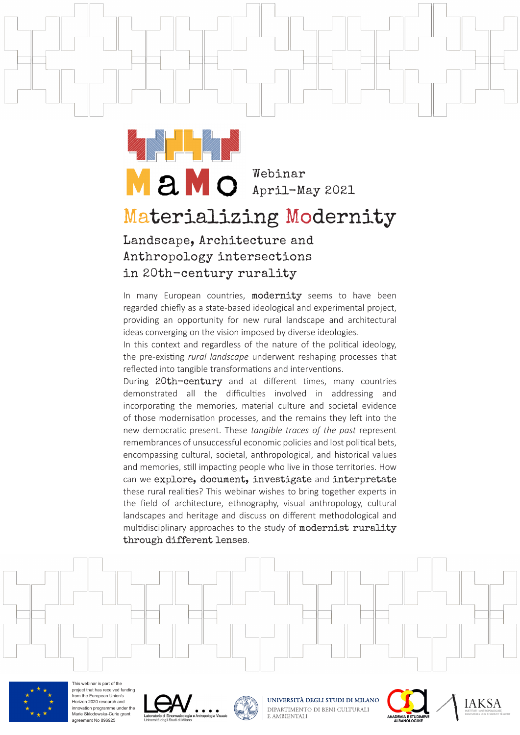Webinar April-May 2021

## Materializing Modernity

Landscape, Architecture and Anthropology intersections in 20th-century rurality

In many European countries, modernity seems to have been regarded chiefy as a state-based ideological and experimental project, providing an opportunity for new rural landscape and architectural ideas converging on the vision imposed by diverse ideologies.

In this context and regardless of the nature of the political ideology, the pre-existng *rural landscape* underwent reshaping processes that reflected into tangible transformations and interventions.

During 20th-century and at different times, many countries demonstrated all the difficulties involved in addressing and incorporating the memories, material culture and societal evidence of those modernisation processes, and the remains they left into the new democratic present. These *tangible traces of the past* represent remembrances of unsuccessful economic policies and lost political bets, encompassing cultural, societal, anthropological, and historical values and memories, still impacting people who live in those territories. How can we explore, document, investigate and interpretate these rural realities? This webinar wishes to bring together experts in the field of architecture, ethnography, visual anthropology, cultural landscapes and heritage and discuss on diferent methodological and multidisciplinary approaches to the study of modernist rurality through different lenses.



agreement No 896925